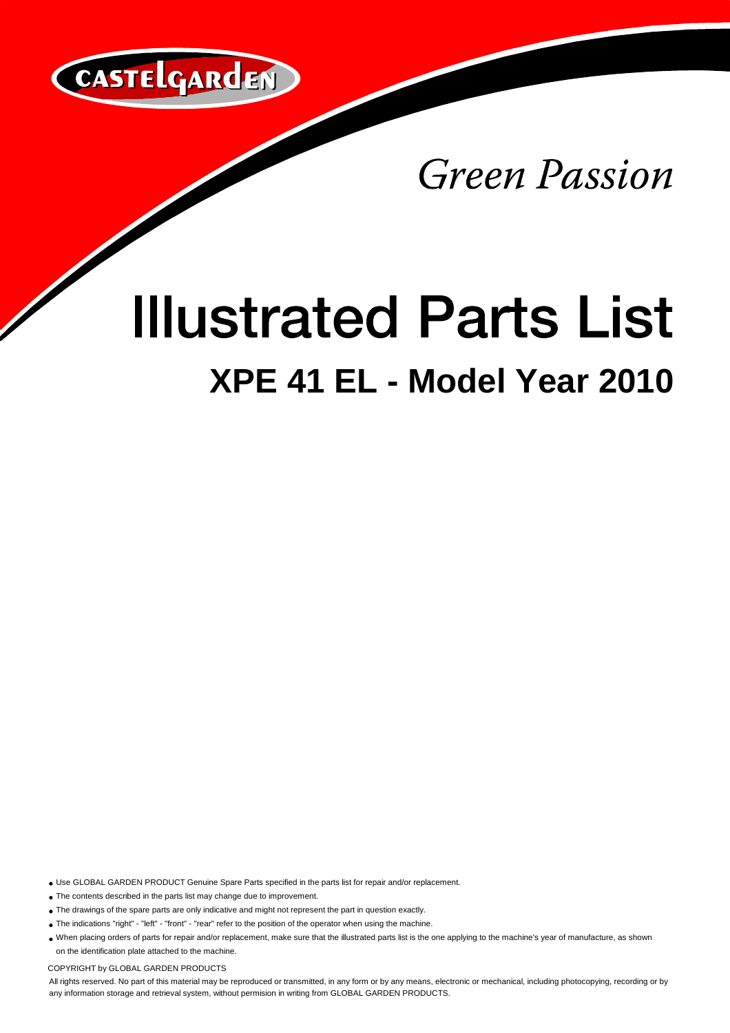

Green Passion

## **Illustrated Parts List XPE 41 EL - Model Year 2010**

Use GLOBAL GARDEN PRODUCT Genuine Spare Parts specified in the parts list for repair and/or replacement.

The contents described in the parts list may change due to improvement.

• The drawings of the spare parts are only indicative and might not represent the part in question exactly.

The indications "right" - "left" - "front" - "rear" refer to the position of the operator when using the machine.

When placing orders of parts for repair and/or replacement, make sure that the illustrated parts list is the one applying to the machine's year of manufacture, as shown on the identification plate attached to the machine.

COPYRIGHT by GLOBAL GARDEN PRODUCTS

All rights reserved. No part of this material may be reproduced or transmitted, in any form or by any means, electronic or mechanical, including photocopying, recording or by any information storage and retrieval system, without permision in writing from GLOBAL GARDEN PRODUCTS.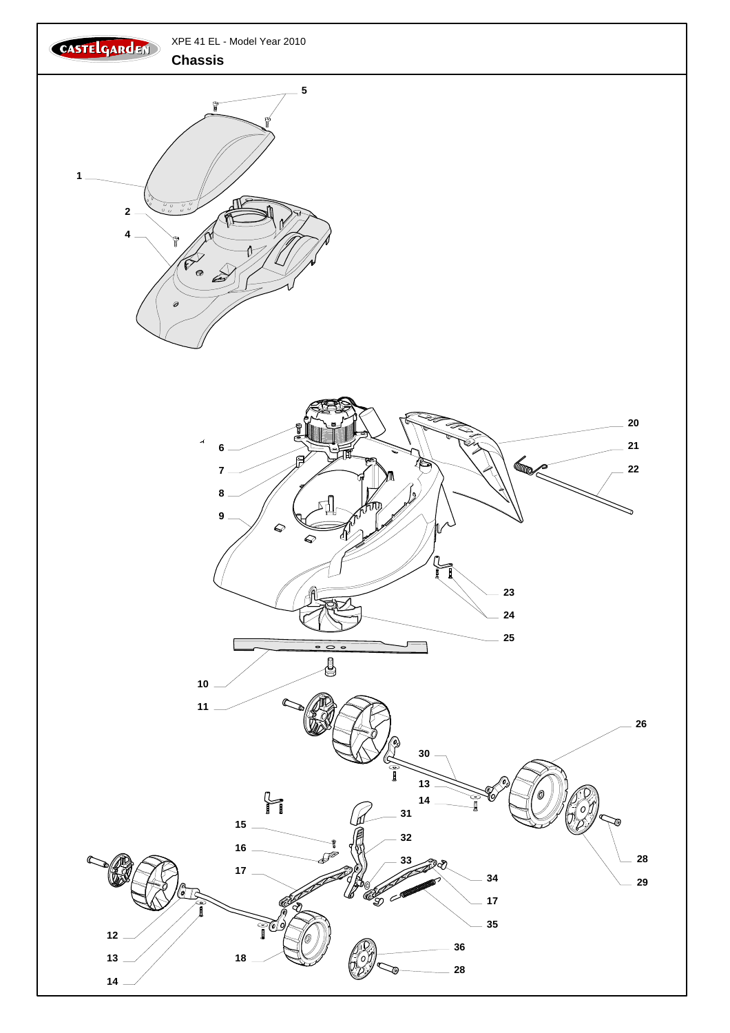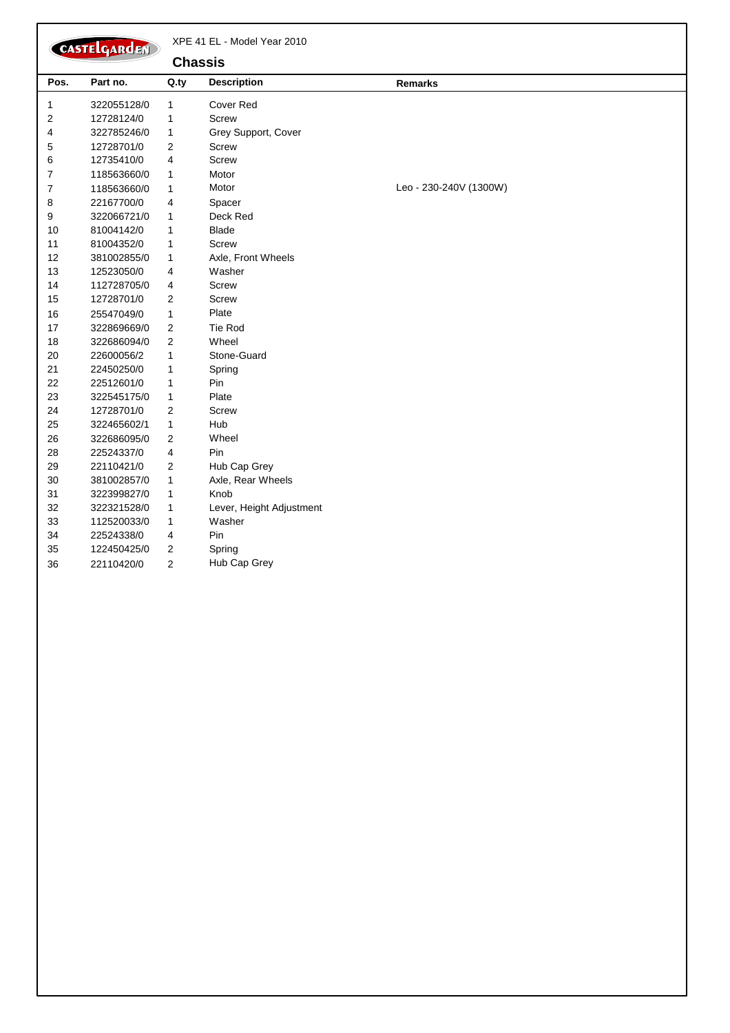|                | CASTELGARDEN |                | XPE 41 EL - Model Year 2010 |                        |
|----------------|--------------|----------------|-----------------------------|------------------------|
|                |              | <b>Chassis</b> |                             |                        |
| Pos.           | Part no.     | Q.ty           | <b>Description</b>          | Remarks                |
| 1              | 322055128/0  | $\mathbf{1}$   | <b>Cover Red</b>            |                        |
| 2              | 12728124/0   | $\mathbf{1}$   | Screw                       |                        |
| 4              | 322785246/0  | 1              | Grey Support, Cover         |                        |
| 5              | 12728701/0   | 2              | <b>Screw</b>                |                        |
| 6              | 12735410/0   | $\overline{4}$ | Screw                       |                        |
| $\overline{7}$ | 118563660/0  | $\mathbf{1}$   | Motor                       |                        |
| 7              | 118563660/0  | $\mathbf{1}$   | Motor                       | Leo - 230-240V (1300W) |
| 8              | 22167700/0   | $\overline{4}$ | Spacer                      |                        |
| 9              | 322066721/0  | 1              | Deck Red                    |                        |
| 10             | 81004142/0   | $\mathbf{1}$   | <b>Blade</b>                |                        |
| 11             | 81004352/0   | 1              | Screw                       |                        |
| 12             | 381002855/0  | $\mathbf{1}$   | Axle, Front Wheels          |                        |
| 13             | 12523050/0   | 4              | Washer                      |                        |
| 14             | 112728705/0  | $\overline{4}$ | <b>Screw</b>                |                        |
| 15             | 12728701/0   | $\sqrt{2}$     | Screw                       |                        |
| 16             | 25547049/0   | $\mathbf{1}$   | Plate                       |                        |
| 17             | 322869669/0  | $\sqrt{2}$     | Tie Rod                     |                        |
| 18             | 322686094/0  | $\overline{2}$ | Wheel                       |                        |
| 20             | 22600056/2   | $\mathbf{1}$   | Stone-Guard                 |                        |
| 21             | 22450250/0   | $\mathbf{1}$   | Spring                      |                        |
| 22             | 22512601/0   | $\mathbf{1}$   | Pin                         |                        |
| 23             | 322545175/0  | $\mathbf{1}$   | Plate                       |                        |
| 24             | 12728701/0   | $\overline{2}$ | <b>Screw</b>                |                        |
| 25             | 322465602/1  | $\mathbf{1}$   | Hub                         |                        |
| 26             | 322686095/0  | $\overline{2}$ | Wheel                       |                        |
| 28             | 22524337/0   | 4              | Pin                         |                        |
| 29             | 22110421/0   | $\mathbf{2}$   | Hub Cap Grey                |                        |
| 30             | 381002857/0  | $\mathbf{1}$   | Axle, Rear Wheels           |                        |
| 31             | 322399827/0  | $\mathbf{1}$   | Knob                        |                        |
| 32             | 322321528/0  | 1              | Lever, Height Adjustment    |                        |
| 33             | 112520033/0  | $\mathbf{1}$   | Washer                      |                        |
| 34             | 22524338/0   | $\overline{4}$ | Pin                         |                        |
| 35             | 122450425/0  | $\overline{2}$ | Spring                      |                        |
| 36             | 22110420/0   | 2              | Hub Cap Grey                |                        |
|                |              |                |                             |                        |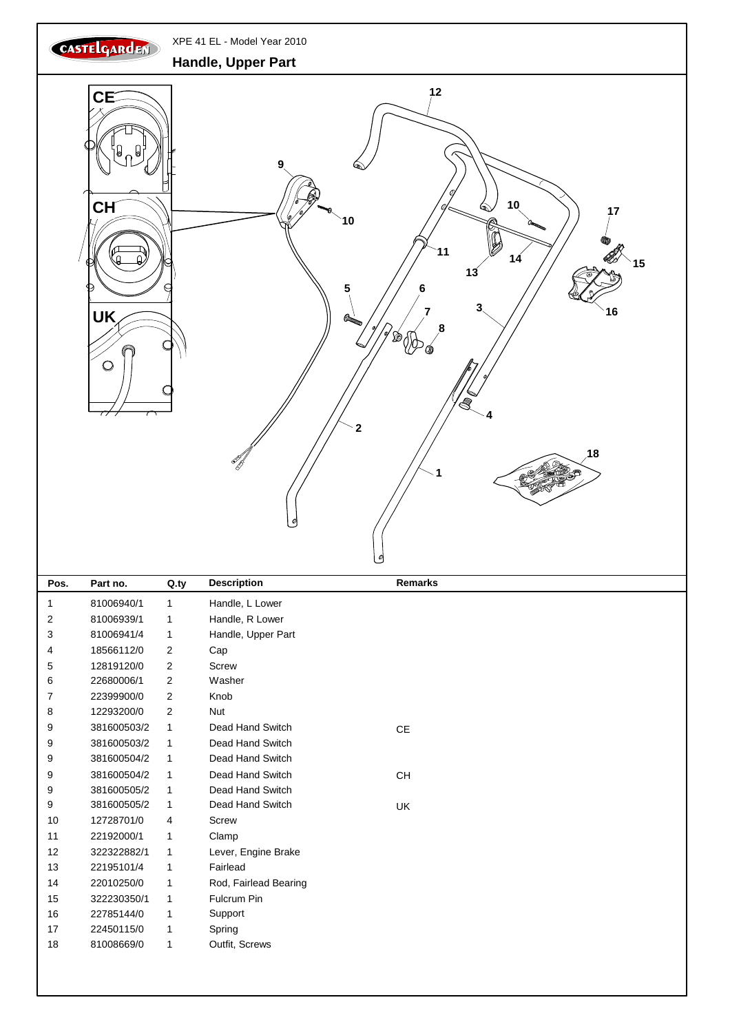

13 22195101/4 1 Fairlead

15 322230350/1 1 Fulcrum Pin 16 22785144/0 1 Support 17 22450115/0 1 Spring 18 81008669/0 1 Outfit, Screws

14 22010250/0 1 Rod, Fairlead Bearing